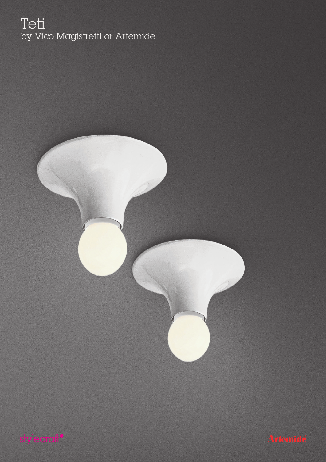### Teti by Vico Magistretti or Artemide



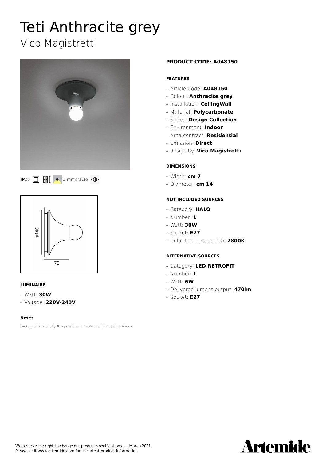# Teti Anthracite grey

### Vico Magistretti







### **LUMINAIRE**

**—** Watt: **30W**

**—** Voltage: **220V-240V**

### **Notes**

Packaged individually. It is possible to create multiple configurations.

### **PRODUCT CODE: A048150**

### **FEATURES**

- **—** Article Code: **A048150**
- **—** Colour: **Anthracite grey**
- **—** Installation: **CeilingWall**
- **—** Material: **Polycarbonate**
- **—** Series: **Design Collection**
- **—** Environment: **Indoor**
- **—** Area contract: **Residential**
- **—** Emission: **Direct**
- **—** design by: **Vico Magistretti**

### **DIMENSIONS**

- **—** Width: **cm 7**
- **—** Diameter: **cm 14**

### **NOT INCLUDED SOURCES**

- **—** Category: **HALO**
- **—** Number: **1**
- **—** Watt: **30W**
- **—** Socket: **E27**
- **—** Color temperature (K): **2800K**

- **—** Category: **LED RETROFIT**
- **—** Number: **1**
- **—** Watt: **6W**
- **—** Delivered lumens output: **470lm**
- **—** Socket: **E27**

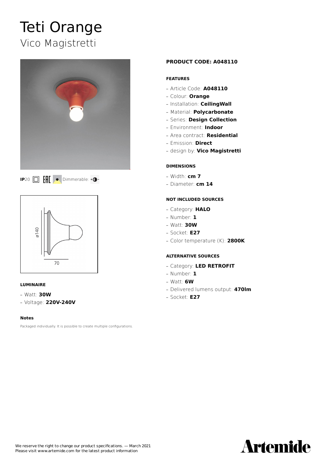## Teti Orange Vico Magistretti







### **LUMINAIRE**

**—** Watt: **30W**

**—** Voltage: **220V-240V**

### **Notes**

Packaged individually. It is possible to create multiple configurations.

### **PRODUCT CODE: A048110**

### **FEATURES**

- **—** Article Code: **A048110**
- **—** Colour: **Orange**
- **—** Installation: **CeilingWall**
- **—** Material: **Polycarbonate**
- **—** Series: **Design Collection**
- **—** Environment: **Indoor**
- **—** Area contract: **Residential**
- **—** Emission: **Direct**
- **—** design by: **Vico Magistretti**

### **DIMENSIONS**

- **—** Width: **cm 7**
- **—** Diameter: **cm 14**

### **NOT INCLUDED SOURCES**

- **—** Category: **HALO**
- **—** Number: **1**
- **—** Watt: **30W**
- **—** Socket: **E27**
- **—** Color temperature (K): **2800K**

- **—** Category: **LED RETROFIT**
- **—** Number: **1**
- **—** Watt: **6W**
- **—** Delivered lumens output: **470lm**
- **—** Socket: **E27**

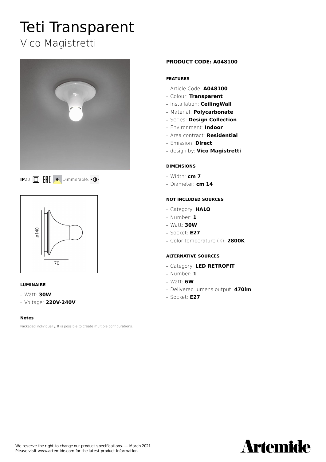### Teti Transparent Vico Magistretti







### **LUMINAIRE**

**—** Watt: **30W**

**—** Voltage: **220V-240V**

### **Notes**

Packaged individually. It is possible to create multiple configurations.

### **PRODUCT CODE: A048100**

### **FEATURES**

- **—** Article Code: **A048100**
- **—** Colour: **Transparent**
- **—** Installation: **CeilingWall**
- **—** Material: **Polycarbonate**
- **—** Series: **Design Collection**
- **—** Environment: **Indoor**
- **—** Area contract: **Residential**
- **—** Emission: **Direct**
- **—** design by: **Vico Magistretti**

### **DIMENSIONS**

- **—** Width: **cm 7**
- **—** Diameter: **cm 14**

### **NOT INCLUDED SOURCES**

- **—** Category: **HALO**
- **—** Number: **1**
- **—** Watt: **30W**
- **—** Socket: **E27**
- **—** Color temperature (K): **2800K**

- **—** Category: **LED RETROFIT**
- **—** Number: **1**
- **—** Watt: **6W**
- **—** Delivered lumens output: **470lm**
- **—** Socket: **E27**